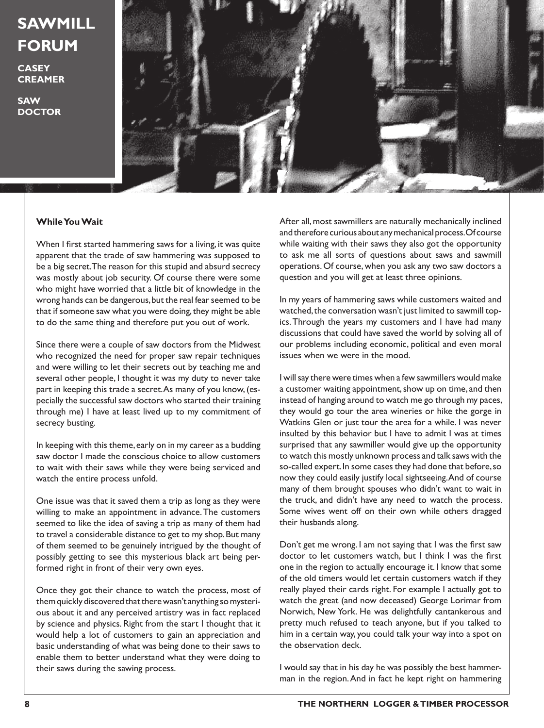## **SAWMILL FORUM**

**CASEY CREAMER**

**SAW DOCTOR**



## **While You Wait**

When I first started hammering saws for a living, it was quite apparent that the trade of saw hammering was supposed to be a big secret. The reason for this stupid and absurd secrecy was mostly about job security. Of course there were some who might have worried that a little bit of knowledge in the wrong hands can be dangerous, but the real fear seemed to be that if someone saw what you were doing, they might be able to do the same thing and therefore put you out of work.

Since there were a couple of saw doctors from the Midwest who recognized the need for proper saw repair techniques and were willing to let their secrets out by teaching me and several other people, I thought it was my duty to never take part in keeping this trade a secret. As many of you know, (especially the successful saw doctors who started their training through me) I have at least lived up to my commitment of secrecy busting.

In keeping with this theme, early on in my career as a budding saw doctor I made the conscious choice to allow customers to wait with their saws while they were being serviced and watch the entire process unfold.

One issue was that it saved them a trip as long as they were willing to make an appointment in advance. The customers seemed to like the idea of saving a trip as many of them had to travel a considerable distance to get to my shop. But many of them seemed to be genuinely intrigued by the thought of possibly getting to see this mysterious black art being performed right in front of their very own eyes.

Once they got their chance to watch the process, most of them quickly discovered that there wasn't anything so mysterious about it and any perceived artistry was in fact replaced by science and physics. Right from the start I thought that it would help a lot of customers to gain an appreciation and basic understanding of what was being done to their saws to enable them to better understand what they were doing to their saws during the sawing process.

After all, most sawmillers are naturally mechanically inclined and therefore curious about any mechanical process. Of course while waiting with their saws they also got the opportunity to ask me all sorts of questions about saws and sawmill operations. Of course, when you ask any two saw doctors a question and you will get at least three opinions.

In my years of hammering saws while customers waited and watched, the conversation wasn't just limited to sawmill topics. Through the years my customers and I have had many discussions that could have saved the world by solving all of our problems including economic, political and even moral issues when we were in the mood.

I will say there were times when a few sawmillers would make a customer waiting appointment, show up on time, and then instead of hanging around to watch me go through my paces, they would go tour the area wineries or hike the gorge in Watkins Glen or just tour the area for a while. I was never insulted by this behavior but I have to admit I was at times surprised that any sawmiller would give up the opportunity to watch this mostly unknown process and talk saws with the so-called expert. In some cases they had done that before, so now they could easily justify local sightseeing. And of course many of them brought spouses who didn't want to wait in the truck, and didn't have any need to watch the process. Some wives went off on their own while others dragged their husbands along.

Don't get me wrong. I am not saying that I was the first saw doctor to let customers watch, but I think I was the first one in the region to actually encourage it. I know that some of the old timers would let certain customers watch if they really played their cards right. For example I actually got to watch the great (and now deceased) George Lorimar from Norwich, New York. He was delightfully cantankerous and pretty much refused to teach anyone, but if you talked to him in a certain way, you could talk your way into a spot on the observation deck.

I would say that in his day he was possibly the best hammerman in the region. And in fact he kept right on hammering